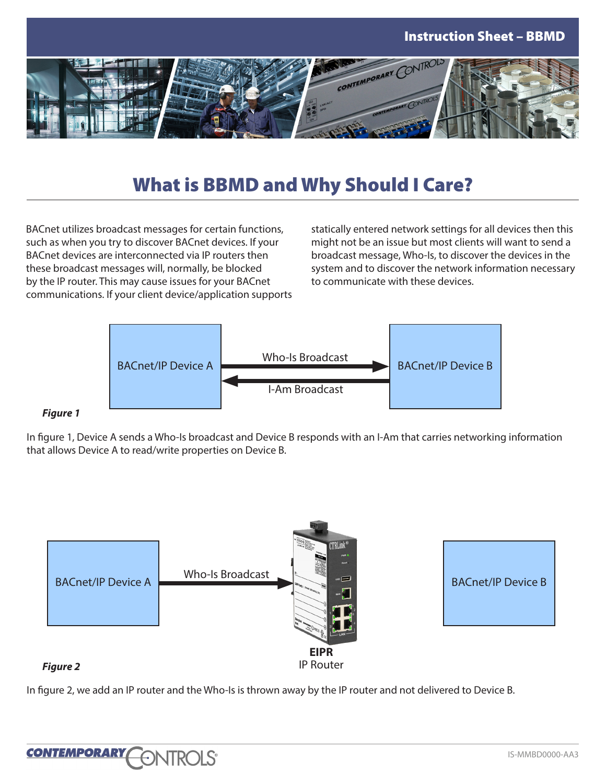

# What is BBMD and Why Should I Care?

BACnet utilizes broadcast messages for certain functions, such as when you try to discover BACnet devices. If your BACnet devices are interconnected via IP routers then these broadcast messages will, normally, be blocked by the IP router. This may cause issues for your BACnet communications. If your client device/application supports

statically entered network settings for all devices then this might not be an issue but most clients will want to send a broadcast message, Who-Is, to discover the devices in the system and to discover the network information necessary to communicate with these devices.



### *Figure 1*

In figure 1, Device A sends a Who-Is broadcast and Device B responds with an I-Am that carries networking information that allows Device A to read/write properties on Device B.



## *Figure 2*

In figure 2, we add an IP router and the Who-Is is thrown away by the IP router and not delivered to Device B.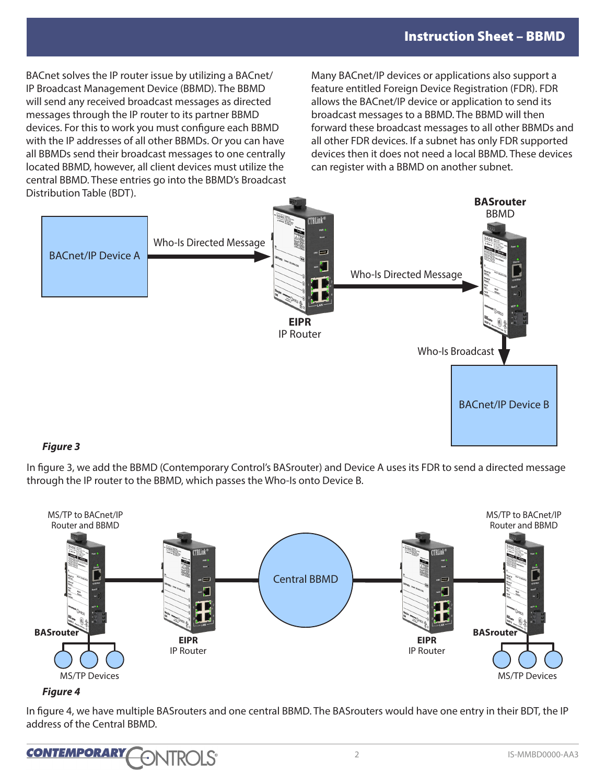BACnet solves the IP router issue by utilizing a BACnet/ IP Broadcast Management Device (BBMD). The BBMD will send any received broadcast messages as directed messages through the IP router to its partner BBMD devices. For this to work you must configure each BBMD with the IP addresses of all other BBMDs. Or you can have all BBMDs send their broadcast messages to one centrally located BBMD, however, all client devices must utilize the central BBMD. These entries go into the BBMD's Broadcast Distribution Table (BDT).

Many BACnet/IP devices or applications also support a feature entitled Foreign Device Registration (FDR). FDR allows the BACnet/IP device or application to send its broadcast messages to a BBMD. The BBMD will then forward these broadcast messages to all other BBMDs and all other FDR devices. If a subnet has only FDR supported devices then it does not need a local BBMD. These devices can register with a BBMD on another subnet.



## *Figure 3*

In figure 3, we add the BBMD (Contemporary Control's BASrouter) and Device A uses its FDR to send a directed message through the IP router to the BBMD, which passes the Who-Is onto Device B.



### *Figure 4*

In figure 4, we have multiple BASrouters and one central BBMD. The BASrouters would have one entry in their BDT, the IP address of the Central BBMD.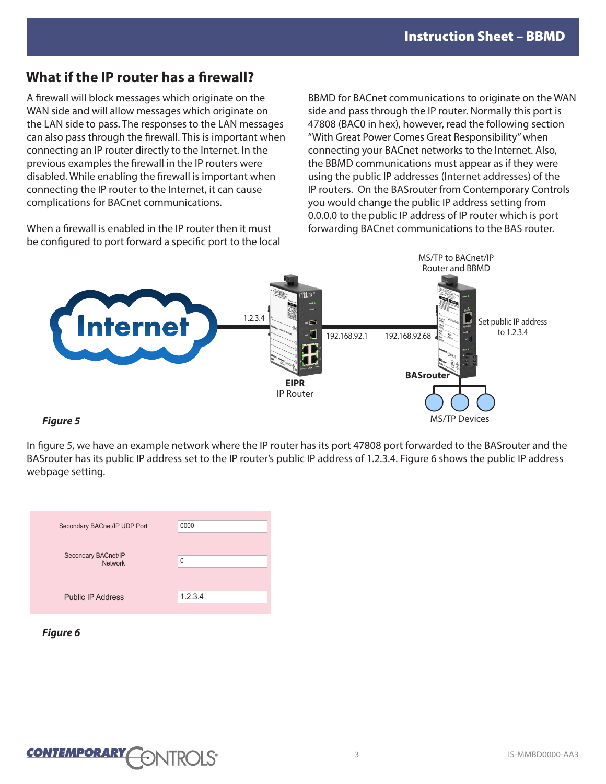## **What if the IP router has a firewall?**

A firewall will block messages which originate on the WAN side and will allow messages which originate on the LAN side to pass. The responses to the LAN messages can also pass through the firewall. This is important when connecting an IP router directly to the Internet. In the previous examples the firewall in the IP routers were disabled. While enabling the firewall is important when connecting the IP router to the Internet, it can cause complications for BACnet communications.

When a firewall is enabled in the IP router then it must be configured to port forward a specific port to the local

BBMD for BACnet communications to originate on the WAN side and pass through the IP router. Normally this port is 47808 (BAC0 in hex), however, read the following section "With Great Power Comes Great Responsibility" when connecting your BACnet networks to the Internet. Also, the BBMD communications must appear as if they were using the public IP addresses (Internet addresses) of the IP routers. On the BASrouter from Contemporary Controls you would change the public IP address setting from 0.0.0.0 to the public IP address of IP router which is port forwarding BACnet communications to the BAS router.



## *Figure 5*

In figure 5, we have an example network where the IP router has its port 47808 port forwarded to the BASrouter and the BASrouter has its public IP address set to the IP router's public IP address of 1.2.3.4. Figure 6 shows the public IP address webpage setting.

| Secondary BACnet/IP UDP Port          | 0000        |
|---------------------------------------|-------------|
| Secondary BACnet/IP<br><b>Network</b> | $\mathbf 0$ |
| <b>Public IP Address</b>              | 1.2.3.4     |

### *Figure 6*

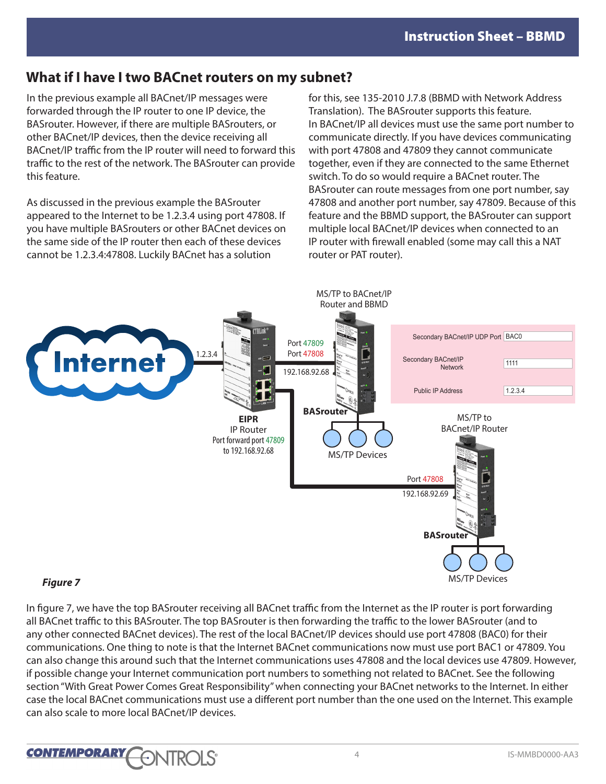## **What if I have I two BACnet routers on my subnet?**

In the previous example all BACnet/IP messages were forwarded through the IP router to one IP device, the BASrouter. However, if there are multiple BASrouters, or other BACnet/IP devices, then the device receiving all BACnet/IP traffic from the IP router will need to forward this traffic to the rest of the network. The BASrouter can provide this feature.

As discussed in the previous example the BASrouter appeared to the Internet to be 1.2.3.4 using port 47808. If you have multiple BASrouters or other BACnet devices on the same side of the IP router then each of these devices cannot be 1.2.3.4:47808. Luckily BACnet has a solution

for this, see 135-2010 J.7.8 (BBMD with Network Address Translation). The BASrouter supports this feature. In BACnet/IP all devices must use the same port number to communicate directly. If you have devices communicating with port 47808 and 47809 they cannot communicate together, even if they are connected to the same Ethernet switch. To do so would require a BACnet router. The BASrouter can route messages from one port number, say 47808 and another port number, say 47809. Because of this feature and the BBMD support, the BASrouter can support multiple local BACnet/IP devices when connected to an IP router with firewall enabled (some may call this a NAT router or PAT router).



## *Figure 7*

In figure 7, we have the top BASrouter receiving all BACnet traffic from the Internet as the IP router is port forwarding all BACnet traffic to this BASrouter. The top BASrouter is then forwarding the traffic to the lower BASrouter (and to any other connected BACnet devices). The rest of the local BACnet/IP devices should use port 47808 (BAC0) for their communications. One thing to note is that the Internet BACnet communications now must use port BAC1 or 47809. You can also change this around such that the Internet communications uses 47808 and the local devices use 47809. However, if possible change your Internet communication port numbers to something not related to BACnet. See the following section "With Great Power Comes Great Responsibility" when connecting your BACnet networks to the Internet. In either case the local BACnet communications must use a different port number than the one used on the Internet. This example can also scale to more local BACnet/IP devices.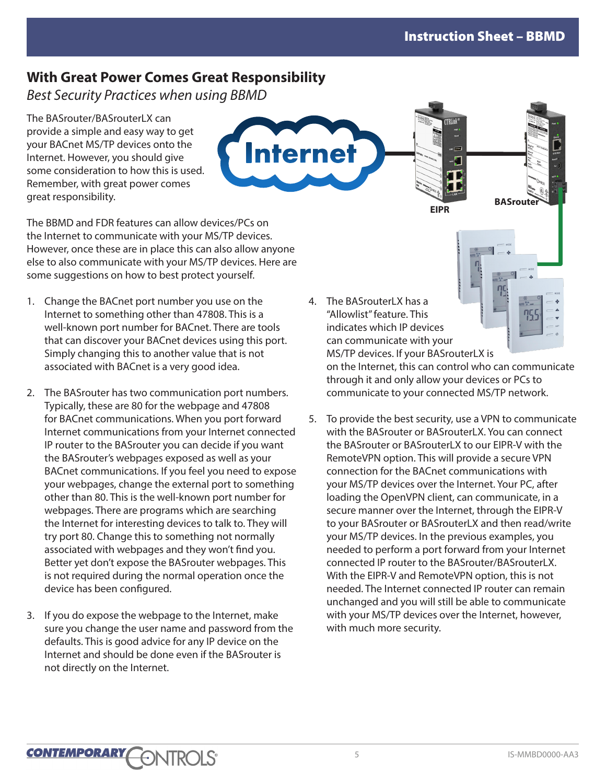## **With Great Power Comes Great Responsibility**

*Best Security Practices when using BBMD*

The BASrouter/BASrouterLX can provide a simple and easy way to get your BACnet MS/TP devices onto the Internet. However, you should give some consideration to how this is used. Remember, with great power comes great responsibility.



The BBMD and FDR features can allow devices/PCs on the Internet to communicate with your MS/TP devices. However, once these are in place this can also allow anyone else to also communicate with your MS/TP devices. Here are some suggestions on how to best protect yourself.

- 1. Change the BACnet port number you use on the Internet to something other than 47808. This is a well-known port number for BACnet. There are tools that can discover your BACnet devices using this port. Simply changing this to another value that is not associated with BACnet is a very good idea.
- 2. The BASrouter has two communication port numbers. Typically, these are 80 for the webpage and 47808 for BACnet communications. When you port forward Internet communications from your Internet connected IP router to the BASrouter you can decide if you want the BASrouter's webpages exposed as well as your BACnet communications. If you feel you need to expose your webpages, change the external port to something other than 80. This is the well-known port number for webpages. There are programs which are searching the Internet for interesting devices to talk to. They will try port 80. Change this to something not normally associated with webpages and they won't find you. Better yet don't expose the BASrouter webpages. This is not required during the normal operation once the device has been configured.
- 3. If you do expose the webpage to the Internet, make sure you change the user name and password from the defaults. This is good advice for any IP device on the Internet and should be done even if the BASrouter is not directly on the Internet.

4. The BASrouterLX has a "Allowlist" feature. This indicates which IP devices can communicate with your MS/TP devices. If your BASrouterLX is

on the Internet, this can control who can communicate through it and only allow your devices or PCs to communicate to your connected MS/TP network.

**EIPR**

5. To provide the best security, use a VPN to communicate with the BASrouter or BASrouterLX. You can connect the BASrouter or BASrouterLX to our EIPR-V with the RemoteVPN option. This will provide a secure VPN connection for the BACnet communications with your MS/TP devices over the Internet. Your PC, after loading the OpenVPN client, can communicate, in a secure manner over the Internet, through the EIPR-V to your BASrouter or BASrouterLX and then read/write your MS/TP devices. In the previous examples, you needed to perform a port forward from your Internet connected IP router to the BASrouter/BASrouterLX. With the EIPR-V and RemoteVPN option, this is not needed. The Internet connected IP router can remain unchanged and you will still be able to communicate with your MS/TP devices over the Internet, however, with much more security.